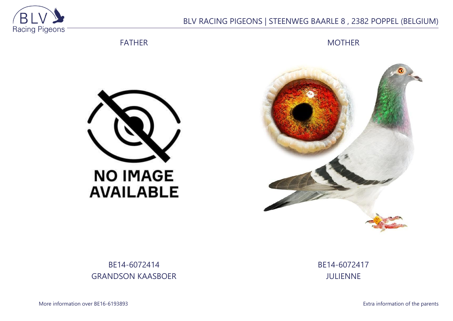

## BLV RACING PIGEONS | STEENWEG BAARLE 8 , 2382 POPPEL (BELGIUM)

FATHER

**MOTHER** 





BE14-6072414 GRANDSON KAASBOER BE14-6072417 JULIENNE

More information over BE16-6193893 **Extra information of the parents**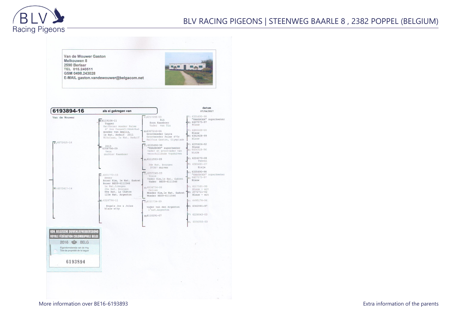

Van de Wouwer Gaston Melkouwen 8 2590 Berlaar HAR BRA TEL 015.240511 GSM 0498.243028 E-MAIL gaston.vandewouwer@belgacom.net datum 6193894-16 als ei gekregen van 07/04/2017  $0: 6335690 - 98$  $\sqrt{v}$ :6257098-03 Van de Wouwer "KAASBOER" superkweker  $Rik$  $V:6119106 - 11$ M: 6407575-97 Zoon Kaasboer Topper<br>Halfbroer moeder Palme Blauw Vader van Tia d' Dor Casaert-Sénéchal  $: 6480508 - 00$ M:6307210-04 moeder van Amalia,<br>le Nat. Asduif 2011 Blauw Grootmoeder Laura M: 6352928-99 Grootmoeder Palme d'Or Nikolaas, 1e Nat. Asduif Blauw Halfzus Gaston, Olympiade  $\sqrt{v}$ : 6072415-14  $v: 6235626 - 92$  $\sqrt{v}$ : 6335690-98 M: 2013 Blauw<br>
: 6404318-96 "KAASBOER" superkweker vader en grootvader van<br>verschillende topduiven Vera<br>dochter Kaasboer BLAUW V: 6224270-08 M:6111553-09 Pascal  $: 6385691 - 07$ 3de Nat. Bourges 37357 duiven Elsje : 6335690-98<br>"KAASBOER" superkweker  $\sqrt{v}$ : 6257240-03  $\overline{V}$ : 6031772-10 Torre 6407575-97 Benny Vader Kim, le Nat. Guéret Broer Kim, le Nat. Guéret Rlauw Vader BE09-6111546 Broer BE09-6111546 Se Nat.Limoges<br>26e Nat. Bourges<br>88e Nat. La Châtre 6517591-99 M:6034734-06 M: 6072417-14 Blauw - wit<br>2072711-02 Celien Moeder Kim, le Nat. Guéret 123e Nat. Argenton Blauw - wit Moeder BE09-6111546  $6326794 - 11$ 6495178-94  $\sqrt{v}$ -6151734-99 Engels Jos & Jules : 6362091-97 vader van den Argenton blauw witp 1° nat. Argenton  $6226043-03$ M:6110291-07 6226250-03 **KON. BELGISCHE DUIVENLIEFHEBBERSBOND ROYALE FÉDÉRATION COLOMBOPHILE BELGI** 2016 SELG Eigendomsbewijs van de ring Titre de propriété de la baque 6193894